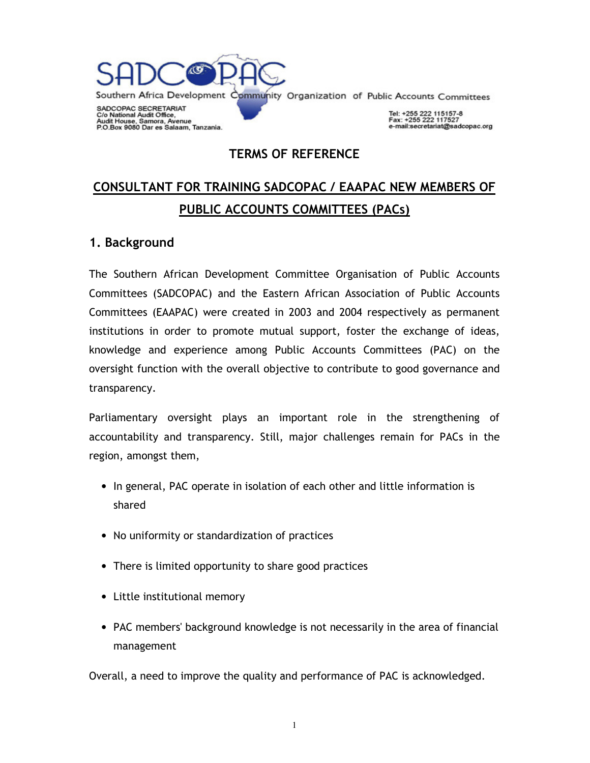

**TERMS OF REFERENCE** 

# **CONSULTANT FOR TRAINING SADCOPAC / EAAPAC NEW MEMBERS OF PUBLIC ACCOUNTS COMMITTEES (PACs)**

#### **1. Background**

The Southern African Development Committee Organisation of Public Accounts Committees (SADCOPAC) and the Eastern African Association of Public Accounts Committees (EAAPAC) were created in 2003 and 2004 respectively as permanent institutions in order to promote mutual support, foster the exchange of ideas, knowledge and experience among Public Accounts Committees (PAC) on the oversight function with the overall objective to contribute to good governance and transparency.

Parliamentary oversight plays an important role in the strengthening of accountability and transparency. Still, major challenges remain for PACs in the region, amongst them,

- In general, PAC operate in isolation of each other and little information is shared
- No uniformity or standardization of practices
- There is limited opportunity to share good practices
- Little institutional memory
- PAC members' background knowledge is not necessarily in the area of financial management

Overall, a need to improve the quality and performance of PAC is acknowledged.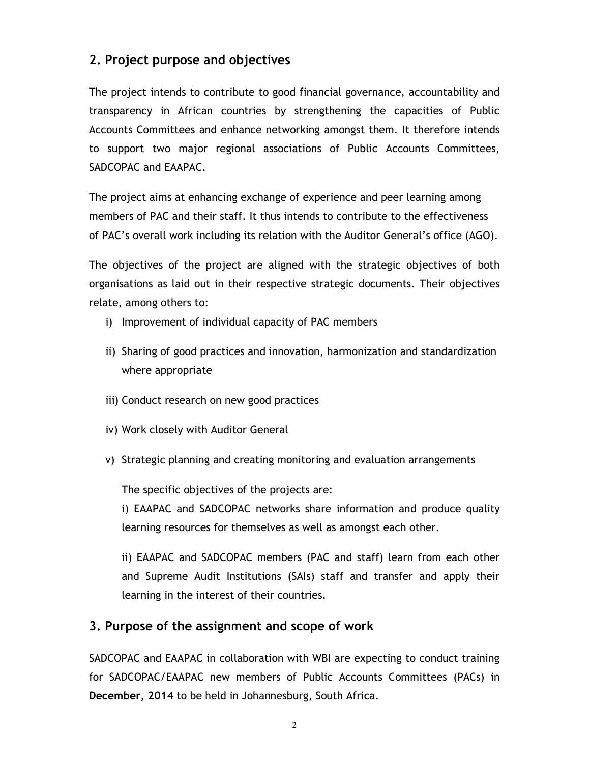# **2. Project purpose and objectives**

The project intends to contribute to good financial governance, accountability and transparency in African countries by strengthening the capacities of Public Accounts Committees and enhance networking amongst them. It therefore intends to support two major regional associations of Public Accounts Committees, SADCOPAC and EAAPAC.

The project aims at enhancing exchange of experience and peer learning among members of PAC and their staff. It thus intends to contribute to the effectiveness of PAC's overall work including its relation with the Auditor General's office (AGO).

The objectives of the project are aligned with the strategic objectives of both organisations as laid out in their respective strategic documents. Their objectives relate, among others to:

- i) Improvement of individual capacity of PAC members
- ii) Sharing of good practices and innovation, harmonization and standardization where appropriate
- iii) Conduct research on new good practices
- iv) Work closely with Auditor General
- v) Strategic planning and creating monitoring and evaluation arrangements

The specific objectives of the projects are:

i) EAAPAC and SADCOPAC networks share information and produce quality learning resources for themselves as well as amongst each other.

ii) EAAPAC and SADCOPAC members (PAC and staff) learn from each other and Supreme Audit Institutions (SAIs) staff and transfer and apply their learning in the interest of their countries.

#### **3. Purpose of the assignment and scope of work**

SADCOPAC and EAAPAC in collaboration with WBI are expecting to conduct training for SADCOPAC/EAAPAC new members of Public Accounts Committees (PACs) in **December, 2014** to be held in Johannesburg, South Africa.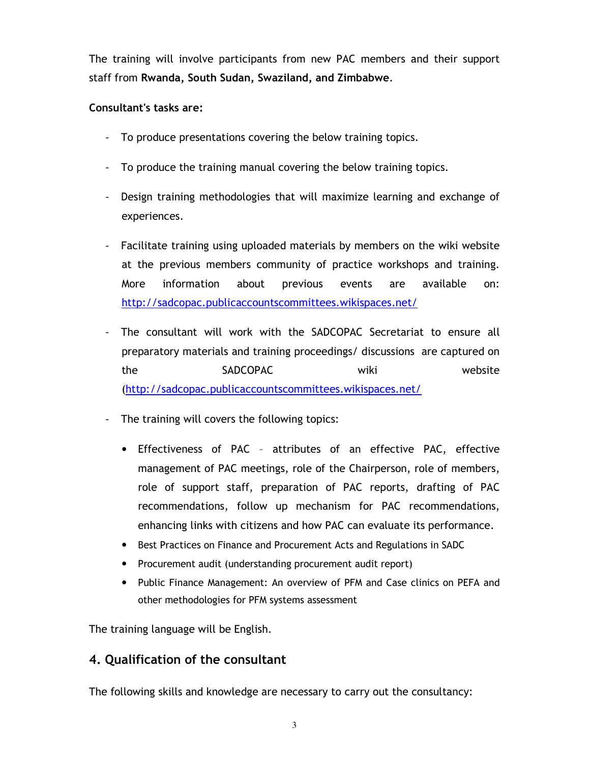The training will involve participants from new PAC members and their support staff from **Rwanda, South Sudan, Swaziland, and Zimbabwe**.

#### **Consultant's tasks are:**

- To produce presentations covering the below training topics.
- To produce the training manual covering the below training topics.
- Design training methodologies that will maximize learning and exchange of experiences.
- Facilitate training using uploaded materials by members on the wiki website at the previous members community of practice workshops and training. More information about previous events are available on: http://sadcopac.publicaccountscommittees.wikispaces.net/
- The consultant will work with the SADCOPAC Secretariat to ensure all preparatory materials and training proceedings/ discussions are captured on the SADCOPAC wiki website (http://sadcopac.publicaccountscommittees.wikispaces.net/
- The training will covers the following topics:
	- Effectiveness of PAC attributes of an effective PAC, effective management of PAC meetings, role of the Chairperson, role of members, role of support staff, preparation of PAC reports, drafting of PAC recommendations, follow up mechanism for PAC recommendations, enhancing links with citizens and how PAC can evaluate its performance.
	- Best Practices on Finance and Procurement Acts and Regulations in SADC
	- Procurement audit (understanding procurement audit report)
	- Public Finance Management: An overview of PFM and Case clinics on PEFA and other methodologies for PFM systems assessment

The training language will be English.

#### **4. Qualification of the consultant**

The following skills and knowledge are necessary to carry out the consultancy: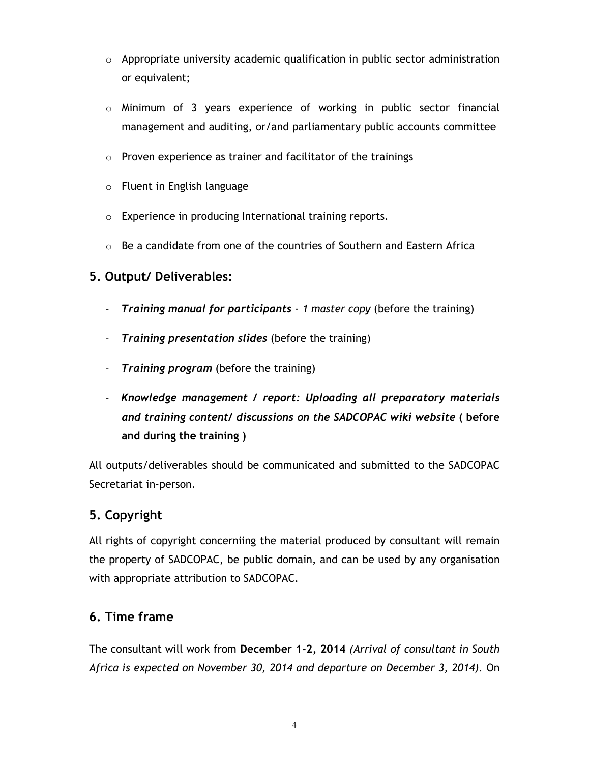- $\circ$  Appropriate university academic qualification in public sector administration or equivalent;
- $\circ$  Minimum of 3 years experience of working in public sector financial management and auditing, or/and parliamentary public accounts committee
- o Proven experience as trainer and facilitator of the trainings
- o Fluent in English language
- o Experience in producing International training reports.
- $\circ$  Be a candidate from one of the countries of Southern and Eastern Africa

## **5. Output/ Deliverables:**

- *Training manual for participants 1 master copy* (before the training)
- *Training presentation slides* (before the training)
- *Training program* (before the training)
- *Knowledge management / report: Uploading all preparatory materials and training content/ discussions on the SADCOPAC wiki website* **( before and during the training )**

All outputs/deliverables should be communicated and submitted to the SADCOPAC Secretariat in-person.

## **5. Copyright**

All rights of copyright concerniing the material produced by consultant will remain the property of SADCOPAC, be public domain, and can be used by any organisation with appropriate attribution to SADCOPAC.

## **6. Time frame**

The consultant will work from **December 1-2, 2014** *(Arrival of consultant in South Africa is expected on November 30, 2014 and departure on December 3, 2014).* On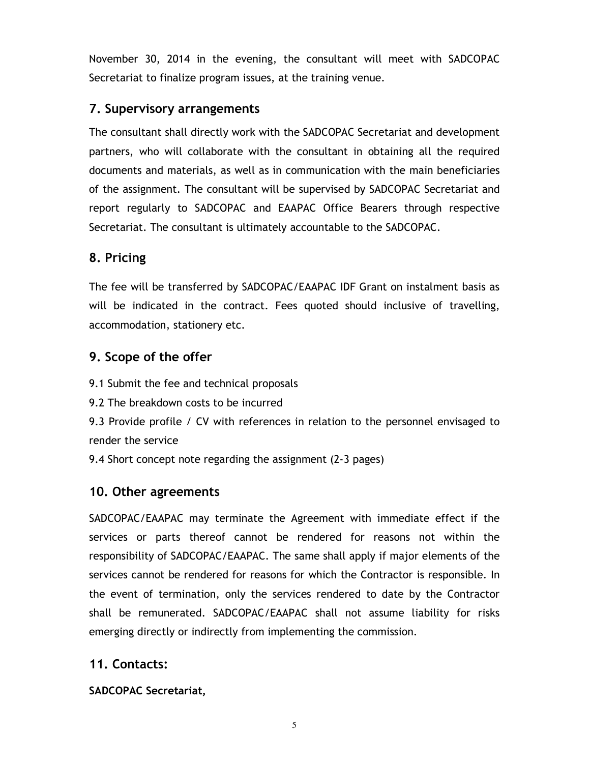November 30, 2014 in the evening, the consultant will meet with SADCOPAC Secretariat to finalize program issues, at the training venue.

#### **7. Supervisory arrangements**

The consultant shall directly work with the SADCOPAC Secretariat and development partners, who will collaborate with the consultant in obtaining all the required documents and materials, as well as in communication with the main beneficiaries of the assignment. The consultant will be supervised by SADCOPAC Secretariat and report regularly to SADCOPAC and EAAPAC Office Bearers through respective Secretariat. The consultant is ultimately accountable to the SADCOPAC.

# **8. Pricing**

The fee will be transferred by SADCOPAC/EAAPAC IDF Grant on instalment basis as will be indicated in the contract. Fees quoted should inclusive of travelling, accommodation, stationery etc.

# **9. Scope of the offer**

9.1 Submit the fee and technical proposals

9.2 The breakdown costs to be incurred

9.3 Provide profile / CV with references in relation to the personnel envisaged to render the service

9.4 Short concept note regarding the assignment (2-3 pages)

## **10. Other agreements**

SADCOPAC/EAAPAC may terminate the Agreement with immediate effect if the services or parts thereof cannot be rendered for reasons not within the responsibility of SADCOPAC/EAAPAC. The same shall apply if major elements of the services cannot be rendered for reasons for which the Contractor is responsible. In the event of termination, only the services rendered to date by the Contractor shall be remunerated. SADCOPAC/EAAPAC shall not assume liability for risks emerging directly or indirectly from implementing the commission.

## **11. Contacts:**

**SADCOPAC Secretariat,**